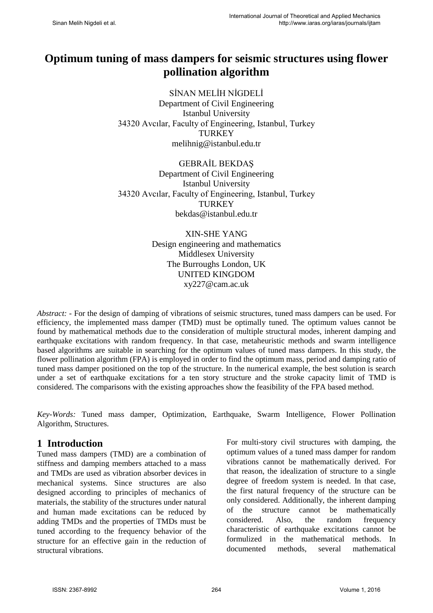# **Optimum tuning of mass dampers for seismic structures using flower pollination algorithm**

SİNAN MELİH NİGDELİ Department of Civil Engineering Istanbul University 34320 Avcılar, Faculty of Engineering, Istanbul, Turkey **TURKEY** melihnig@istanbul.edu.tr

GEBRAİL BEKDAŞ Department of Civil Engineering Istanbul University 34320 Avcılar, Faculty of Engineering, Istanbul, Turkey **TURKEY** bekdas@istanbul.edu.tr

> XIN-SHE YANG Design engineering and mathematics Middlesex University The Burroughs London, UK UNITED KINGDOM xy227@cam.ac.uk

*Abstract:* - For the design of damping of vibrations of seismic structures, tuned mass dampers can be used. For efficiency, the implemented mass damper (TMD) must be optimally tuned. The optimum values cannot be found by mathematical methods due to the consideration of multiple structural modes, inherent damping and earthquake excitations with random frequency. In that case, metaheuristic methods and swarm intelligence based algorithms are suitable in searching for the optimum values of tuned mass dampers. In this study, the flower pollination algorithm (FPA) is employed in order to find the optimum mass, period and damping ratio of tuned mass damper positioned on the top of the structure. In the numerical example, the best solution is search under a set of earthquake excitations for a ten story structure and the stroke capacity limit of TMD is considered. The comparisons with the existing approaches show the feasibility of the FPA based method.

*Key-Words:* Tuned mass damper, Optimization, Earthquake, Swarm Intelligence, Flower Pollination Algorithm, Structures.

#### **1 Introduction**

Tuned mass dampers (TMD) are a combination of stiffness and damping members attached to a mass and TMDs are used as vibration absorber devices in mechanical systems. Since structures are also designed according to principles of mechanics of materials, the stability of the structures under natural and human made excitations can be reduced by adding TMDs and the properties of TMDs must be tuned according to the frequency behavior of the structure for an effective gain in the reduction of structural vibrations.

For multi-story civil structures with damping, the optimum values of a tuned mass damper for random vibrations cannot be mathematically derived. For that reason, the idealization of structure to a single degree of freedom system is needed. In that case, the first natural frequency of the structure can be only considered. Additionally, the inherent damping of the structure cannot be mathematically considered. Also, the random frequency characteristic of earthquake excitations cannot be formulized in the mathematical methods. In documented methods, several mathematical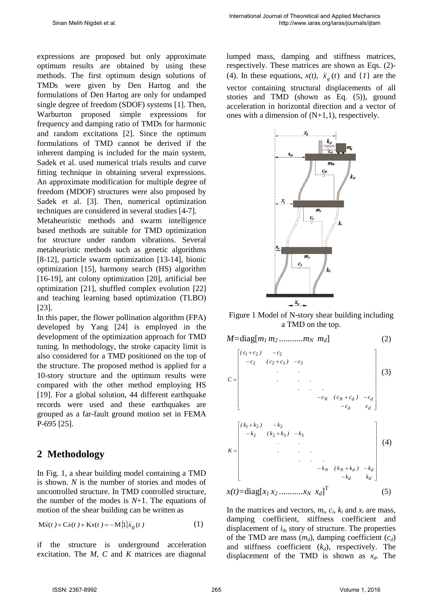expressions are proposed but only approximate optimum results are obtained by using these methods. The first optimum design solutions of TMDs were given by Den Hartog and the formulations of Den Hartog are only for undamped single degree of freedom (SDOF) systems [1]. Then, Warburton proposed simple expressions for frequency and damping ratio of TMDs for harmonic and random excitations [2]. Since the optimum formulations of TMD cannot be derived if the inherent damping is included for the main system, Sadek et al. used numerical trials results and curve fitting technique in obtaining several expressions. An approximate modification for multiple degree of freedom (MDOF) structures were also proposed by Sadek et al. [3]. Then, numerical optimization techniques are considered in several studies [4-7].

Metaheuristic methods and swarm intelligence based methods are suitable for TMD optimization for structure under random vibrations. Several metaheuristic methods such as genetic algorithms [8-12], particle swarm optimization [13-14], bionic optimization [15], harmony search (HS) algorithm [16-19], ant colony optimization [20], artificial bee optimization [21], shuffled complex evolution [22] and teaching learning based optimization (TLBO) [23].

In this paper, the flower pollination algorithm (FPA) developed by Yang [24] is employed in the development of the optimization approach for TMD tuning. In methodology, the stroke capacity limit is also considered for a TMD positioned on the top of the structure. The proposed method is applied for a 10-story structure and the optimum results were compared with the other method employing HS [19]. For a global solution, 44 different earthquake records were used and these earthquakes are grouped as a far-fault ground motion set in FEMA P-695 [25].

## **2 Methodology**

In Fig. 1, a shear building model containing a TMD is shown. *N* is the number of stories and modes of uncontrolled structure. In TMD controlled structure, the number of the modes is  $N+1$ . The equations of motion of the shear building can be written as

$$
M\ddot{x}(t) + C\dot{x}(t) + Kx(t) = -M\{1\}\ddot{x}_g(t)
$$
 (1)

if the structure is underground acceleration excitation. The *M*, *C* and *K* matrices are diagonal

lumped mass, damping and stiffness matrices, respectively. These matrices are shown as Eqs. (2)- (4). In these equations,  $x(t)$ ,  $\ddot{x}_g(t)$  and  $\{1\}$  are the vector containing structural displacements of all stories and TMD (shown as Eq. (5)), ground acceleration in horizontal direction and a vector of ones with a dimension of (N+1,1), respectively.



Figure 1 Model of N-story shear building including a TMD on the top.



In the matrices and vectors,  $m_i$ ,  $c_i$ ,  $k_i$  and  $x_i$  are mass, damping coefficient, stiffness coefficient and displacement of  $i_{\text{th}}$  story of structure. The properties of the TMD are mass  $(m_d)$ , damping coefficient  $(c_d)$ and stiffness coefficient  $(k_d)$ , respectively. The displacement of the TMD is shown as  $x_d$ . The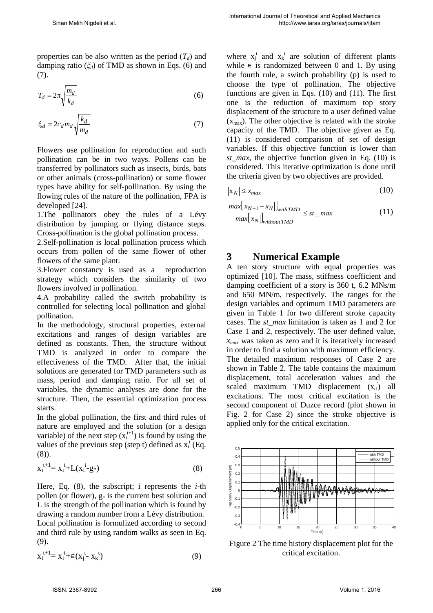properties can be also written as the period  $(T_d)$  and damping ratio (*ξd*) of TMD as shown in Eqs. (6) and (7).

$$
T_d = 2\pi \sqrt{\frac{m_d}{k_d}}\tag{6}
$$

$$
\xi_d = 2c_d m_d \sqrt{\frac{k_d}{m_d}}\tag{7}
$$

Flowers use pollination for reproduction and such pollination can be in two ways. Pollens can be transferred by pollinators such as insects, birds, bats or other animals (cross-pollination) or some flower types have ability for self-pollination. By using the flowing rules of the nature of the pollination, FPA is developed [24].

1.The pollinators obey the rules of a Lévy distribution by jumping or flying distance steps. Cross-pollination is the global pollination process.

2.Self-pollination is local pollination process which occurs from pollen of the same flower of other flowers of the same plant.

3.Flower constancy is used as a reproduction strategy which considers the similarity of two flowers involved in pollination.

4.A probability called the switch probability is controlled for selecting local pollination and global pollination.

In the methodology, structural properties, external excitations and ranges of design variables are defined as constants. Then, the structure without TMD is analyzed in order to compare the effectiveness of the TMD. After that, the initial solutions are generated for TMD parameters such as mass, period and damping ratio. For all set of variables, the dynamic analyses are done for the structure. Then, the essential optimization process starts.

In the global pollination, the first and third rules of nature are employed and the solution (or a design variable) of the next step  $(x_i^{t+1})$  is found by using the values of the previous step (step t) defined as  $x_i^t$  (Eq. (8)).

$$
x_i^{t+1} = x_i^t + L(x_i^t - g_*)
$$
 (8)

Here, Eq. (8), the subscript; i represents the *i*-th pollen (or flower),  $g$ <sup>\*</sup> is the current best solution and L is the strength of the pollination which is found by drawing a random number from a Lévy distribution. Local pollination is formulized according to second and third rule by using random walks as seen in Eq. (9).

$$
x_i^{t+1} = x_i^t + \epsilon (x_j^t - x_k^t) \tag{9}
$$

where  $x_j^t$  and  $x_k^t$  are solution of different plants while  $\epsilon$  is randomized between 0 and 1. By using the fourth rule, a switch probability (p) is used to choose the type of pollination. The objective functions are given in Eqs. (10) and (11). The first one is the reduction of maximum top story displacement of the structure to a user defined value  $(x<sub>max</sub>)$ . The other objective is related with the stroke capacity of the TMD. The objective given as Eq. (11) is considered comparison of set of design variables. If this objective function is lower than *st max*, the objective function given in Eq. (10) is considered. This iterative optimization is done until the criteria given by two objectives are provided.

$$
|\mathbf{x}_N| \le x_{max} \tag{10}
$$

$$
\frac{\max[|x_{N+1} - x_N|]_{within\,}}{\max[|x_N|]_{without\, TMD}} \leq st_{max} \tag{11}
$$

### **3 Numerical Example**

A ten story structure with equal properties was optimized [10]. The mass, stiffness coefficient and damping coefficient of a story is 360 t, 6.2 MNs/m and 650 MN/m, respectively. The ranges for the design variables and optimum TMD parameters are given in Table 1 for two different stroke capacity cases. The *st\_max* limitation is taken as 1 and 2 for Case 1 and 2, respectively. The user defined value, *xmax* was taken as zero and it is iteratively increased in order to find a solution with maximum efficiency. The detailed maximum responses of Case 2 are shown in Table 2. The table contains the maximum displacement, total acceleration values and the scaled maximum TMD displacement  $(x_d)$  all excitations. The most critical excitation is the second component of Duzce record (plot shown in Fig. 2 for Case 2) since the stroke objective is applied only for the critical excitation.



Figure 2 The time history displacement plot for the critical excitation.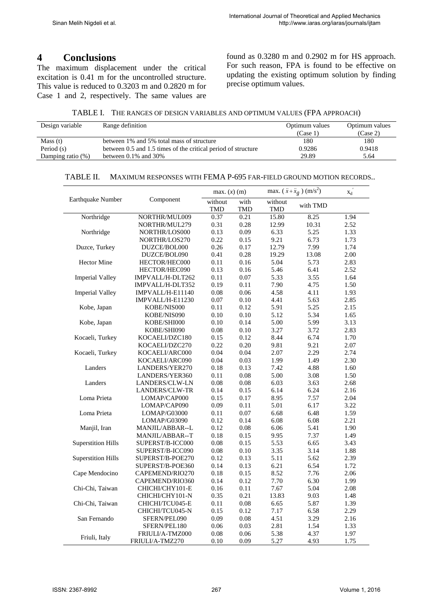#### **4 Conclusions**

The maximum displacement under the critical excitation is 0.41 m for the uncontrolled structure. This value is reduced to 0.3203 m and 0.2820 m for Case 1 and 2, respectively. The same values are found as 0.3280 m and 0.2902 m for HS approach. For such reason, FPA is found to be effective on updating the existing optimum solution by finding precise optimum values.

TABLE I. THE RANGES OF DESIGN VARIABLES AND OPTIMUM VALUES (FPA APPROACH)

| Design variable   | Range definition                                              | Optimum values | Optimum values |
|-------------------|---------------------------------------------------------------|----------------|----------------|
|                   |                                                               | (Case 1)       | (Case 2)       |
| Mass(t)           | between 1% and 5% total mass of structure                     | 180            | 180            |
| Period (s)        | between 0.5 and 1.5 times of the critical period of structure | 0.9286         | 0.9418         |
| Damping ratio (%) | between $0.1\%$ and $30\%$                                    | 29.89          | 5.64           |

#### TABLE II. MAXIMUM RESPONSES WITH FEMA P-695 FAR-FIELD GROUND MOTION RECORDS..

|                                   | Component             | max. $(x)$ (m)        |                    | max. $(\bar{x} + \bar{x}_g)$ (m/s <sup>2</sup> ) |          | $x_d$ |
|-----------------------------------|-----------------------|-----------------------|--------------------|--------------------------------------------------|----------|-------|
| Earthquake Number                 |                       | without<br><b>TMD</b> | with<br><b>TMD</b> | without<br><b>TMD</b>                            | with TMD |       |
| Northridge                        | NORTHR/MUL009         | 0.37                  | 0.21               | 15.80                                            | 8.25     | 1.94  |
| Northridge                        | NORTHR/MUL279         | 0.31                  | 0.28               | 12.99                                            | 10.31    | 2.52  |
|                                   | NORTHR/LOS000         | 0.13                  | 0.09               | 6.33                                             | 5.25     | 1.33  |
|                                   | NORTHR/LOS270         | 0.22                  | 0.15               | 9.21                                             | 6.73     | 1.73  |
| Duzce, Turkey                     | DUZCE/BOL000          | 0.26                  | 0.17               | 12.79                                            | 7.99     | 1.74  |
| <b>Hector Mine</b>                | DUZCE/BOL090          | 0.41                  | 0.28               | 19.29                                            | 13.08    | 2.00  |
|                                   | HECTOR/HEC000         | 0.11                  | 0.16               | 5.04                                             | 5.73     | 2.83  |
| <b>Imperial Valley</b>            | HECTOR/HEC090         | 0.13                  | 0.16               | 5.46                                             | 6.41     | 2.52  |
|                                   | IMPVALL/H-DLT262      | 0.11                  | 0.07               | 5.33                                             | 3.55     | 1.64  |
|                                   | IMPVALL/H-DLT352      | 0.19                  | 0.11               | 7.90                                             | 4.75     | 1.50  |
| <b>Imperial Valley</b>            | IMPVALL/H-E11140      | $0.08\,$              | 0.06               | 4.58                                             | 4.11     | 1.93  |
|                                   | IMPVALL/H-E11230      | $0.07\,$              | 0.10               | 4.41                                             | 5.63     | 2.85  |
| Kobe, Japan                       | KOBE/NIS000           | 0.11                  | 0.12               | 5.91                                             | 5.25     | 2.15  |
|                                   | KOBE/NIS090           | 0.10                  | 0.10               | 5.12                                             | 5.34     | 1.65  |
| Kobe, Japan                       | KOBE/SHI000           | 0.10                  | 0.14               | 5.00                                             | 5.99     | 3.13  |
|                                   | KOBE/SHI090           | $0.08\,$              | 0.10               | 3.27                                             | 3.72     | 2.83  |
| Kocaeli, Turkey                   | KOCAELI/DZC180        | 0.15                  | 0.12               | 8.44                                             | 6.74     | 1.70  |
|                                   | KOCAELI/DZC270        | 0.22                  | 0.20               | 9.81                                             | 9.21     | 2.07  |
| Kocaeli, Turkey                   | KOCAELI/ARC000        | 0.04                  | 0.04               | 2.07                                             | 2.29     | 2.74  |
|                                   | KOCAELI/ARC090        | 0.04                  | 0.03               | 1.99                                             | 1.49     | 2.30  |
| Landers                           | LANDERS/YER270        | 0.18                  | 0.13               | 7.42                                             | 4.88     | 1.60  |
|                                   | LANDERS/YER360        | 0.11                  | 0.08               | 5.00                                             | 3.08     | 1.50  |
| Landers                           | LANDERS/CLW-LN        | 0.08                  | 0.08               | 6.03                                             | 3.63     | 2.68  |
| Loma Prieta                       | <b>LANDERS/CLW-TR</b> | 0.14                  | 0.15               | 6.14                                             | 6.24     | 2.16  |
|                                   | LOMAP/CAP000          | 0.15                  | 0.17               | 8.95                                             | 7.57     | 2.04  |
|                                   | LOMAP/CAP090          | 0.09                  | 0.11               | 5.01                                             | 6.17     | 3.22  |
| Loma Prieta                       | LOMAP/G03000          | 0.11                  | 0.07               | 6.68                                             | 6.48     | 1.59  |
|                                   | LOMAP/G03090          | 0.12                  | 0.14               | 6.08                                             | 6.08     | 2.21  |
| Manjil, Iran                      | MANJIL/ABBAR--L       | 0.12                  | $0.08\,$           | 6.06                                             | 5.41     | 1.90  |
|                                   | MANJIL/ABBAR--T       | 0.18                  | 0.15               | 9.95                                             | 7.37     | 1.49  |
| <b>Superstition Hills</b>         | SUPERST/B-ICC000      | $0.08\,$              | 0.15               | 5.53                                             | 6.65     | 3.43  |
|                                   | SUPERST/B-ICC090      | $0.08\,$              | $0.10\,$           | 3.35                                             | 3.14     | 1.88  |
| <b>Superstition Hills</b>         | SUPERST/B-POE270      | 0.12                  | 0.13               | 5.11                                             | 5.62     | 2.39  |
|                                   | SUPERST/B-POE360      | 0.14                  | 0.13               | 6.21                                             | 6.54     | 1.72  |
| Cape Mendocino<br>Chi-Chi, Taiwan | CAPEMEND/RIO270       | 0.18                  | 0.15               | 8.52                                             | 7.76     | 2.06  |
|                                   | CAPEMEND/RIO360       | 0.14                  | 0.12               | 7.70                                             | 6.30     | 1.99  |
|                                   | CHICHI/CHY101-E       | $0.16\,$              | 0.11               | 7.67                                             | 5.04     | 2.08  |
|                                   | CHICHI/CHY101-N       | 0.35                  | 0.21               | 13.83                                            | 9.03     | 1.48  |
| Chi-Chi, Taiwan                   | CHICHI/TCU045-E       | 0.11                  | 0.08               | 6.65                                             | 5.87     | 1.39  |
|                                   | CHICHI/TCU045-N       | 0.15                  | 0.12               | 7.17                                             | 6.58     | 2.29  |
| San Fernando                      | SFERN/PEL090          | 0.09                  | 0.08               | 4.51                                             | 3.29     | 2.16  |
|                                   | SFERN/PEL180          | 0.06                  | 0.03               | 2.81                                             | 1.54     | 1.33  |
| Friuli, Italy                     | FRIULI/A-TMZ000       | 0.08                  | 0.06               | 5.38                                             | 4.37     | 1.97  |
|                                   | FRIULI/A-TMZ270       | 0.10                  | 0.09               | 5.27                                             | 4.93     | 1.75  |

 $\overline{a}$